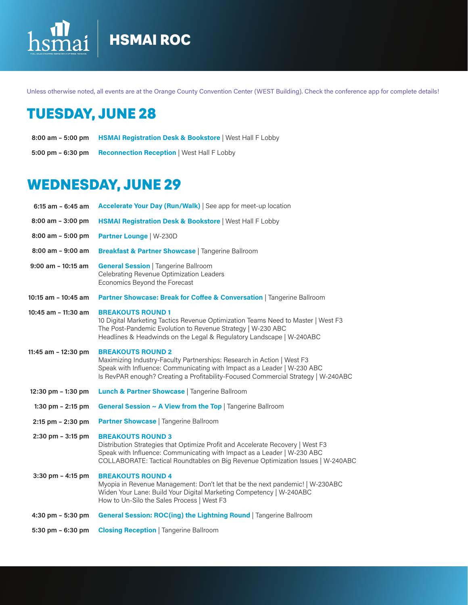## lai HSMAI ROC hsi

Unless otherwise noted, all events are at the Orange County Convention Center (WEST Building). Check the conference app for complete details!

# TUESDAY, JUNE 28

- **HSMAI Registration Desk & Bookstore** | West Hall F Lobby **8:00 am 5:00 pm**
- 5:00 pm 6:30 pm Reconnection Reception | West Hall F Lobby

# WEDNESDAY, JUNE 29

| $6:15$ am - $6:45$ am | Accelerate Your Day (Run/Walk)   See app for meet-up location                                                                                                                                                                                                            |
|-----------------------|--------------------------------------------------------------------------------------------------------------------------------------------------------------------------------------------------------------------------------------------------------------------------|
| $8:00$ am $-3:00$ pm  | HSMAI Registration Desk & Bookstore   West Hall F Lobby                                                                                                                                                                                                                  |
| $8:00$ am $-5:00$ pm  | <b>Partner Lounge   W-230D</b>                                                                                                                                                                                                                                           |
| $8:00$ am - $9:00$ am | <b>Breakfast &amp; Partner Showcase   Tangerine Ballroom</b>                                                                                                                                                                                                             |
| $9:00$ am $-10:15$ am | <b>General Session   Tangerine Ballroom</b><br>Celebrating Revenue Optimization Leaders<br>Economics Beyond the Forecast                                                                                                                                                 |
| 10:15 am - 10:45 am   | Partner Showcase: Break for Coffee & Conversation   Tangerine Ballroom                                                                                                                                                                                                   |
| 10:45 am - 11:30 am   | <b>BREAKOUTS ROUND 1</b><br>10 Digital Marketing Tactics Revenue Optimization Teams Need to Master   West F3<br>The Post-Pandemic Evolution to Revenue Strategy   W-230 ABC<br>Headlines & Headwinds on the Legal & Regulatory Landscape   W-240ABC                      |
| 11:45 am - 12:30 pm   | <b>BREAKOUTS ROUND 2</b><br>Maximizing Industry-Faculty Partnerships: Research in Action   West F3<br>Speak with Influence: Communicating with Impact as a Leader   W-230 ABC<br>Is RevPAR enough? Creating a Profitability-Focused Commercial Strategy   W-240ABC       |
| 12:30 pm $-$ 1:30 pm  | Lunch & Partner Showcase   Tangerine Ballroom                                                                                                                                                                                                                            |
| 1:30 pm $- 2:15$ pm   | General Session ~ A View from the Top   Tangerine Ballroom                                                                                                                                                                                                               |
| $2:15$ pm $- 2:30$ pm | <b>Partner Showcase</b>   Tangerine Ballroom                                                                                                                                                                                                                             |
| $2:30$ pm $-3:15$ pm  | <b>BREAKOUTS ROUND 3</b><br>Distribution Strategies that Optimize Profit and Accelerate Recovery   West F3<br>Speak with Influence: Communicating with Impact as a Leader   W-230 ABC<br>COLLABORATE: Tactical Roundtables on Big Revenue Optimization Issues   W-240ABC |
| $3:30$ pm $- 4:15$ pm | <b>BREAKOUTS ROUND 4</b><br>Myopia in Revenue Management: Don't let that be the next pandemic!   W-230ABC<br>Widen Your Lane: Build Your Digital Marketing Competency   W-240ABC<br>How to Un-Silo the Sales Process   West F3                                           |
| 4:30 pm $-$ 5:30 pm   | General Session: ROC(ing) the Lightning Round   Tangerine Ballroom                                                                                                                                                                                                       |
| $5:30$ pm $-6:30$ pm  | <b>Closing Reception   Tangerine Ballroom</b>                                                                                                                                                                                                                            |
|                       |                                                                                                                                                                                                                                                                          |